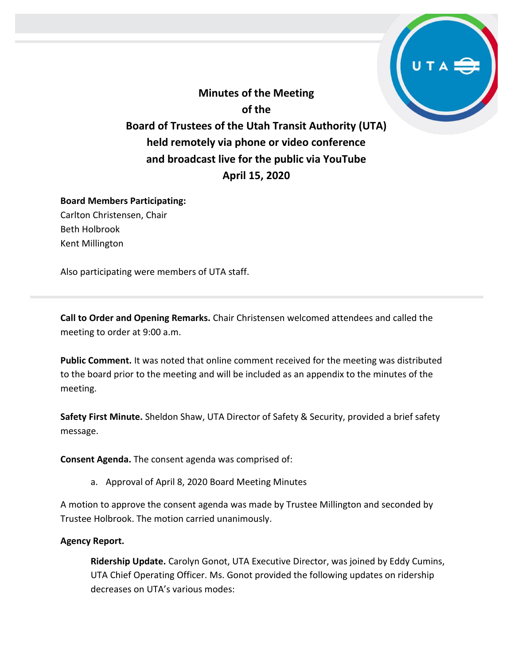**Minutes of the Meeting of the Board of Trustees of the Utah Transit Authority (UTA) held remotely via phone or video conference and broadcast live for the public via YouTube April 15, 2020**

# **Board Members Participating:**

Carlton Christensen, Chair Beth Holbrook Kent Millington

Also participating were members of UTA staff.

**Call to Order and Opening Remarks.** Chair Christensen welcomed attendees and called the meeting to order at 9:00 a.m.

**Public Comment.** It was noted that online comment received for the meeting was distributed to the board prior to the meeting and will be included as an appendix to the minutes of the meeting.

**Safety First Minute.** Sheldon Shaw, UTA Director of Safety & Security, provided a brief safety message.

**Consent Agenda.** The consent agenda was comprised of:

a. Approval of April 8, 2020 Board Meeting Minutes

A motion to approve the consent agenda was made by Trustee Millington and seconded by Trustee Holbrook. The motion carried unanimously.

## **Agency Report.**

**Ridership Update.** Carolyn Gonot, UTA Executive Director, was joined by Eddy Cumins, UTA Chief Operating Officer. Ms. Gonot provided the following updates on ridership decreases on UTA's various modes: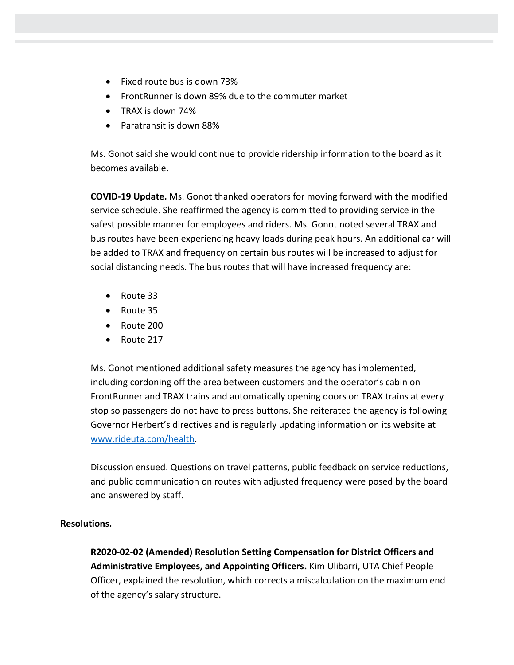- Fixed route bus is down 73%
- FrontRunner is down 89% due to the commuter market
- TRAX is down 74%
- Paratransit is down 88%

Ms. Gonot said she would continue to provide ridership information to the board as it becomes available.

**COVID-19 Update.** Ms. Gonot thanked operators for moving forward with the modified service schedule. She reaffirmed the agency is committed to providing service in the safest possible manner for employees and riders. Ms. Gonot noted several TRAX and bus routes have been experiencing heavy loads during peak hours. An additional car will be added to TRAX and frequency on certain bus routes will be increased to adjust for social distancing needs. The bus routes that will have increased frequency are:

- Route 33
- Route 35
- Route 200
- Route 217

Ms. Gonot mentioned additional safety measures the agency has implemented, including cordoning off the area between customers and the operator's cabin on FrontRunner and TRAX trains and automatically opening doors on TRAX trains at every stop so passengers do not have to press buttons. She reiterated the agency is following Governor Herbert's directives and is regularly updating information on its website at [www.rideuta.com/health.](http://www.rideuta.com/health)

Discussion ensued. Questions on travel patterns, public feedback on service reductions, and public communication on routes with adjusted frequency were posed by the board and answered by staff.

## **Resolutions.**

**R2020-02-02 (Amended) Resolution Setting Compensation for District Officers and Administrative Employees, and Appointing Officers.** Kim Ulibarri, UTA Chief People Officer, explained the resolution, which corrects a miscalculation on the maximum end of the agency's salary structure.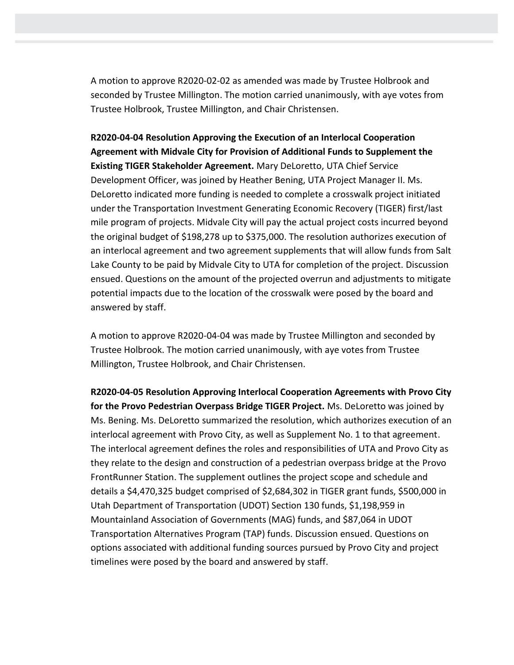A motion to approve R2020-02-02 as amended was made by Trustee Holbrook and seconded by Trustee Millington. The motion carried unanimously, with aye votes from Trustee Holbrook, Trustee Millington, and Chair Christensen.

**R2020-04-04 Resolution Approving the Execution of an Interlocal Cooperation Agreement with Midvale City for Provision of Additional Funds to Supplement the Existing TIGER Stakeholder Agreement.** Mary DeLoretto, UTA Chief Service Development Officer, was joined by Heather Bening, UTA Project Manager II. Ms. DeLoretto indicated more funding is needed to complete a crosswalk project initiated under the Transportation Investment Generating Economic Recovery (TIGER) first/last mile program of projects. Midvale City will pay the actual project costs incurred beyond the original budget of \$198,278 up to \$375,000. The resolution authorizes execution of an interlocal agreement and two agreement supplements that will allow funds from Salt Lake County to be paid by Midvale City to UTA for completion of the project. Discussion ensued. Questions on the amount of the projected overrun and adjustments to mitigate potential impacts due to the location of the crosswalk were posed by the board and answered by staff.

A motion to approve R2020-04-04 was made by Trustee Millington and seconded by Trustee Holbrook. The motion carried unanimously, with aye votes from Trustee Millington, Trustee Holbrook, and Chair Christensen.

**R2020-04-05 Resolution Approving Interlocal Cooperation Agreements with Provo City for the Provo Pedestrian Overpass Bridge TIGER Project.** Ms. DeLoretto was joined by Ms. Bening. Ms. DeLoretto summarized the resolution, which authorizes execution of an interlocal agreement with Provo City, as well as Supplement No. 1 to that agreement. The interlocal agreement defines the roles and responsibilities of UTA and Provo City as they relate to the design and construction of a pedestrian overpass bridge at the Provo FrontRunner Station. The supplement outlines the project scope and schedule and details a \$4,470,325 budget comprised of \$2,684,302 in TIGER grant funds, \$500,000 in Utah Department of Transportation (UDOT) Section 130 funds, \$1,198,959 in Mountainland Association of Governments (MAG) funds, and \$87,064 in UDOT Transportation Alternatives Program (TAP) funds. Discussion ensued. Questions on options associated with additional funding sources pursued by Provo City and project timelines were posed by the board and answered by staff.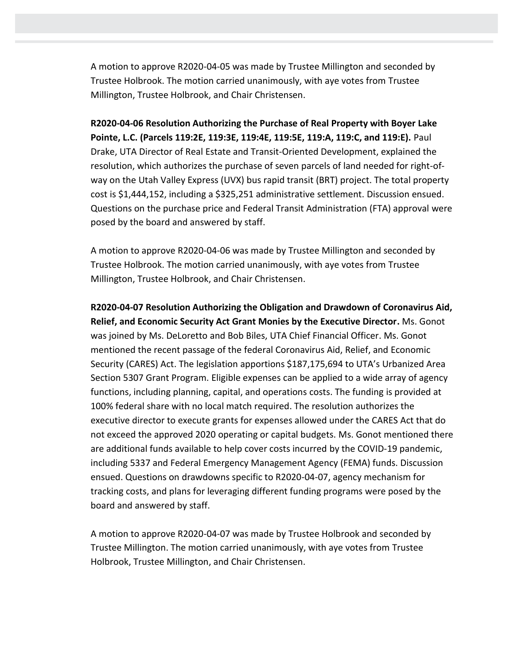A motion to approve R2020-04-05 was made by Trustee Millington and seconded by Trustee Holbrook. The motion carried unanimously, with aye votes from Trustee Millington, Trustee Holbrook, and Chair Christensen.

**R2020-04-06 Resolution Authorizing the Purchase of Real Property with Boyer Lake Pointe, L.C. (Parcels 119:2E, 119:3E, 119:4E, 119:5E, 119:A, 119:C, and 119:E).** Paul Drake, UTA Director of Real Estate and Transit-Oriented Development, explained the resolution, which authorizes the purchase of seven parcels of land needed for right-ofway on the Utah Valley Express (UVX) bus rapid transit (BRT) project. The total property cost is \$1,444,152, including a \$325,251 administrative settlement. Discussion ensued. Questions on the purchase price and Federal Transit Administration (FTA) approval were posed by the board and answered by staff.

A motion to approve R2020-04-06 was made by Trustee Millington and seconded by Trustee Holbrook. The motion carried unanimously, with aye votes from Trustee Millington, Trustee Holbrook, and Chair Christensen.

**R2020-04-07 Resolution Authorizing the Obligation and Drawdown of Coronavirus Aid, Relief, and Economic Security Act Grant Monies by the Executive Director.** Ms. Gonot was joined by Ms. DeLoretto and Bob Biles, UTA Chief Financial Officer. Ms. Gonot mentioned the recent passage of the federal Coronavirus Aid, Relief, and Economic Security (CARES) Act. The legislation apportions \$187,175,694 to UTA's Urbanized Area Section 5307 Grant Program. Eligible expenses can be applied to a wide array of agency functions, including planning, capital, and operations costs. The funding is provided at 100% federal share with no local match required. The resolution authorizes the executive director to execute grants for expenses allowed under the CARES Act that do not exceed the approved 2020 operating or capital budgets. Ms. Gonot mentioned there are additional funds available to help cover costs incurred by the COVID-19 pandemic, including 5337 and Federal Emergency Management Agency (FEMA) funds. Discussion ensued. Questions on drawdowns specific to R2020-04-07, agency mechanism for tracking costs, and plans for leveraging different funding programs were posed by the board and answered by staff.

A motion to approve R2020-04-07 was made by Trustee Holbrook and seconded by Trustee Millington. The motion carried unanimously, with aye votes from Trustee Holbrook, Trustee Millington, and Chair Christensen.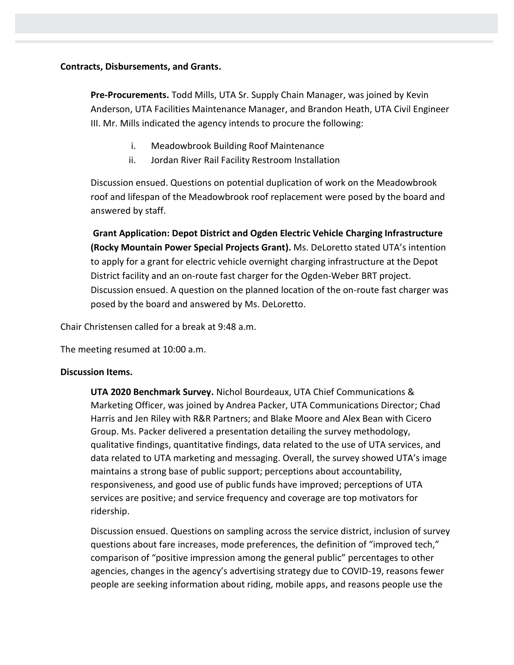#### **Contracts, Disbursements, and Grants.**

**Pre-Procurements.** Todd Mills, UTA Sr. Supply Chain Manager, was joined by Kevin Anderson, UTA Facilities Maintenance Manager, and Brandon Heath, UTA Civil Engineer III. Mr. Mills indicated the agency intends to procure the following:

- i. Meadowbrook Building Roof Maintenance
- ii. Jordan River Rail Facility Restroom Installation

Discussion ensued. Questions on potential duplication of work on the Meadowbrook roof and lifespan of the Meadowbrook roof replacement were posed by the board and answered by staff.

**Grant Application: Depot District and Ogden Electric Vehicle Charging Infrastructure (Rocky Mountain Power Special Projects Grant).** Ms. DeLoretto stated UTA's intention to apply for a grant for electric vehicle overnight charging infrastructure at the Depot District facility and an on-route fast charger for the Ogden-Weber BRT project. Discussion ensued. A question on the planned location of the on-route fast charger was posed by the board and answered by Ms. DeLoretto.

Chair Christensen called for a break at 9:48 a.m.

The meeting resumed at 10:00 a.m.

#### **Discussion Items.**

**UTA 2020 Benchmark Survey.** Nichol Bourdeaux, UTA Chief Communications & Marketing Officer, was joined by Andrea Packer, UTA Communications Director; Chad Harris and Jen Riley with R&R Partners; and Blake Moore and Alex Bean with Cicero Group. Ms. Packer delivered a presentation detailing the survey methodology, qualitative findings, quantitative findings, data related to the use of UTA services, and data related to UTA marketing and messaging. Overall, the survey showed UTA's image maintains a strong base of public support; perceptions about accountability, responsiveness, and good use of public funds have improved; perceptions of UTA services are positive; and service frequency and coverage are top motivators for ridership.

Discussion ensued. Questions on sampling across the service district, inclusion of survey questions about fare increases, mode preferences, the definition of "improved tech," comparison of "positive impression among the general public" percentages to other agencies, changes in the agency's advertising strategy due to COVID-19, reasons fewer people are seeking information about riding, mobile apps, and reasons people use the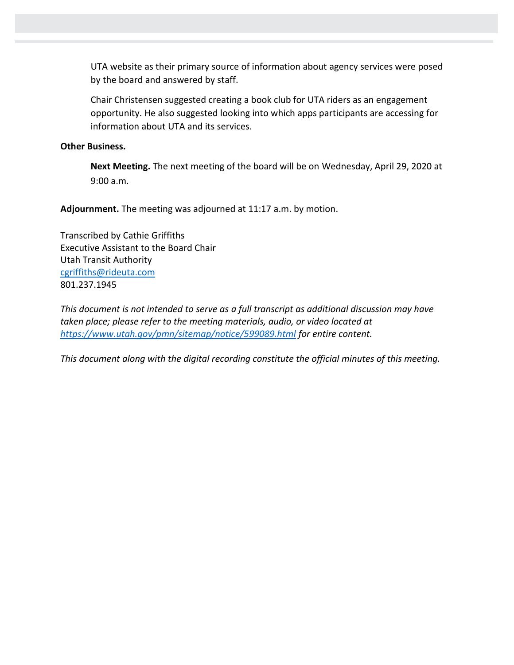UTA website as their primary source of information about agency services were posed by the board and answered by staff.

Chair Christensen suggested creating a book club for UTA riders as an engagement opportunity. He also suggested looking into which apps participants are accessing for information about UTA and its services.

#### **Other Business.**

**Next Meeting.** The next meeting of the board will be on Wednesday, April 29, 2020 at 9:00 a.m.

**Adjournment.** The meeting was adjourned at 11:17 a.m. by motion.

Transcribed by Cathie Griffiths Executive Assistant to the Board Chair Utah Transit Authority [cgriffiths@rideuta.com](mailto:cgriffiths@rideuta.com) 801.237.1945

*This document is not intended to serve as a full transcript as additional discussion may have taken place; please refer to the meeting materials, audio, or video located at <https://www.utah.gov/pmn/sitemap/notice/599089.html> for entire content.*

*This document along with the digital recording constitute the official minutes of this meeting.*